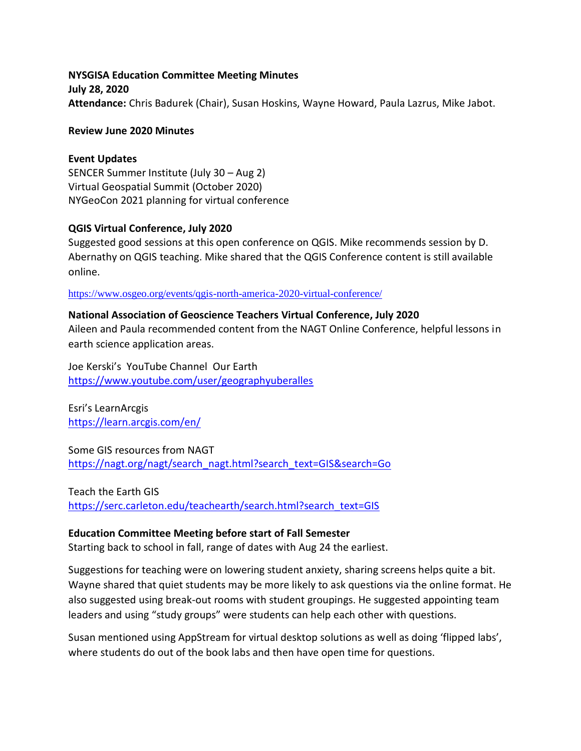**NYSGISA Education Committee Meeting Minutes July 28, 2020 Attendance:** Chris Badurek (Chair), Susan Hoskins, Wayne Howard, Paula Lazrus, Mike Jabot.

### **Review June 2020 Minutes**

### **Event Updates**

SENCER Summer Institute (July 30 – Aug 2) Virtual Geospatial Summit (October 2020) NYGeoCon 2021 planning for virtual conference

### **QGIS Virtual Conference, July 2020**

Suggested good sessions at this open conference on QGIS. Mike recommends session by D. Abernathy on QGIS teaching. Mike shared that the QGIS Conference content is still available online.

<https://www.osgeo.org/events/qgis-north-america-2020-virtual-conference/>

### **National Association of Geoscience Teachers Virtual Conference, July 2020**

Aileen and Paula recommended content from the NAGT Online Conference, helpful lessons in earth science application areas.

Joe Kerski's YouTube Channel Our Earth <https://www.youtube.com/user/geographyuberalles>

Esri's LearnArcgis <https://learn.arcgis.com/en/>

Some GIS resources from NAGT [https://nagt.org/nagt/search\\_nagt.html?search\\_text=GIS&search=Go](https://nagt.org/nagt/search_nagt.html?search_text=GIS&search=Go)

Teach the Earth GIS [https://serc.carleton.edu/teachearth/search.html?search\\_text=GIS](https://serc.carleton.edu/teachearth/search.html?search_text=GIS)

## **Education Committee Meeting before start of Fall Semester**

Starting back to school in fall, range of dates with Aug 24 the earliest.

Suggestions for teaching were on lowering student anxiety, sharing screens helps quite a bit. Wayne shared that quiet students may be more likely to ask questions via the online format. He also suggested using break-out rooms with student groupings. He suggested appointing team leaders and using "study groups" were students can help each other with questions.

Susan mentioned using AppStream for virtual desktop solutions as well as doing 'flipped labs', where students do out of the book labs and then have open time for questions.